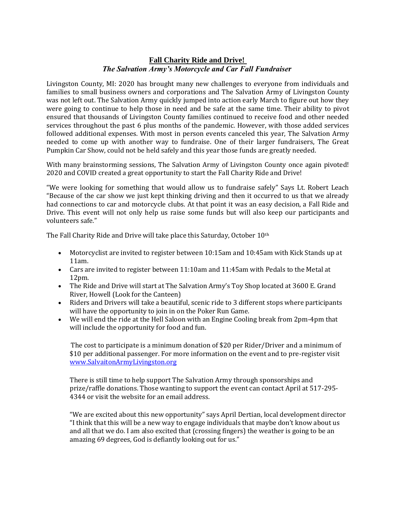## **Fall Charity Ride and Drive!** *The Salvation Army's Motorcycle and Car Fall Fundraiser*

Livingston County, MI: 2020 has brought many new challenges to everyone from individuals and families to small business owners and corporations and The Salvation Army of Livingston County was not left out. The Salvation Army quickly jumped into action early March to figure out how they were going to continue to help those in need and be safe at the same time. Their ability to pivot ensured that thousands of Livingston County families continued to receive food and other needed services throughout the past 6 plus months of the pandemic. However, with those added services followed additional expenses. With most in person events canceled this year, The Salvation Army needed to come up with another way to fundraise. One of their larger fundraisers, The Great Pumpkin Car Show, could not be held safely and this year those funds are greatly needed.

With many brainstorming sessions, The Salvation Army of Livingston County once again pivoted! 2020 and COVID created a great opportunity to start the Fall Charity Ride and Drive!

"We were looking for something that would allow us to fundraise safely" Says Lt. Robert Leach "Because of the car show we just kept thinking driving and then it occurred to us that we already had connections to car and motorcycle clubs. At that point it was an easy decision, a Fall Ride and Drive. This event will not only help us raise some funds but will also keep our participants and volunteers safe."

The Fall Charity Ride and Drive will take place this Saturday, October 10th

- Motorcyclist are invited to register between 10:15am and 10:45am with Kick Stands up at 11am.
- Cars are invited to register between 11:10am and 11:45am with Pedals to the Metal at 12pm.
- The Ride and Drive will start at The Salvation Army's Toy Shop located at 3600 E. Grand River, Howell (Look for the Canteen)
- Riders and Drivers will take a beautiful, scenic ride to 3 different stops where participants will have the opportunity to join in on the Poker Run Game.
- We will end the ride at the Hell Saloon with an Engine Cooling break from 2pm-4pm that will include the opportunity for food and fun.

The cost to participate is a minimum donation of \$20 per Rider/Driver and a minimum of \$10 per additional passenger. For more information on the event and to pre-register visit [www.SalvaitonArmyLivingston.org](http://www.salvaitonarmylivingston.org/)

There is still time to help support The Salvation Army through sponsorships and prize/raffle donations. Those wanting to support the event can contact April at 517-295- 4344 or visit the website for an email address.

"We are excited about this new opportunity" says April Dertian, local development director "I think that this will be a new way to engage individuals that maybe don't know about us and all that we do. I am also excited that (crossing fingers) the weather is going to be an amazing 69 degrees, God is defiantly looking out for us."